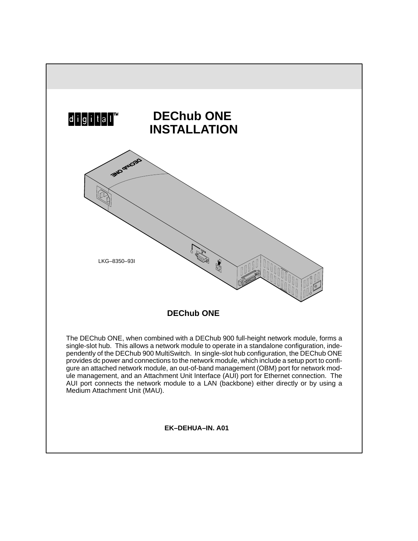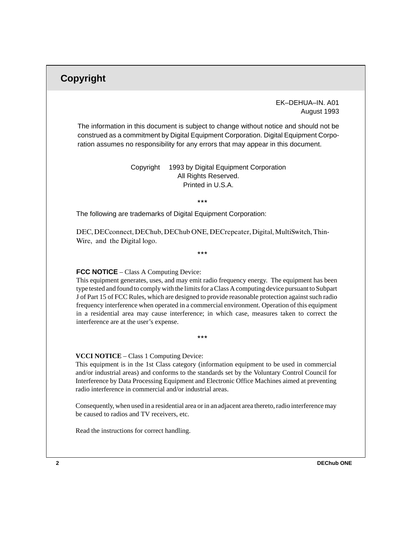## **Copyright**

### EK–DEHUA–IN. A01 August 1993

The information in this document is subject to change without notice and should not be construed as a commitment by Digital Equipment Corporation. Digital Equipment Corporation assumes no responsibility for any errors that may appear in this document.

> Copyright © 1993 by Digital Equipment Corporation All Rights Reserved. Printed in U.S.A.

> > $***$

The following are trademarks of Digital Equipment Corporation:

DEC, DECconnect, DEChub, DEChub ONE, DECrepeater, Digital, MultiSwitch, Thin-Wire, and the Digital logo.

 $***$ 

#### **FCC NOTICE** – Class A Computing Device:

This equipment generates, uses, and may emit radio frequency energy. The equipment has been type tested and found to comply with the limits for a Class A computing device pursuant to Subpart J of Part 15 of FCC Rules, which are designed to provide reasonable protection against such radio frequency interference when operated in a commercial environment. Operation of this equipment in a residential area may cause interference; in which case, measures taken to correct the interference are at the user's expense.

 $***$ 

#### **VCCI NOTICE** – Class 1 Computing Device:

This equipment is in the 1st Class category (information equipment to be used in commercial and/or industrial areas) and conforms to the standards set by the Voluntary Control Council for Interference by Data Processing Equipment and Electronic Office Machines aimed at preventing radio interference in commercial and/or industrial areas.

Consequently, when used in a residential area or in an adjacent area thereto, radio interference may be caused to radios and TV receivers, etc.

Read the instructions for correct handling.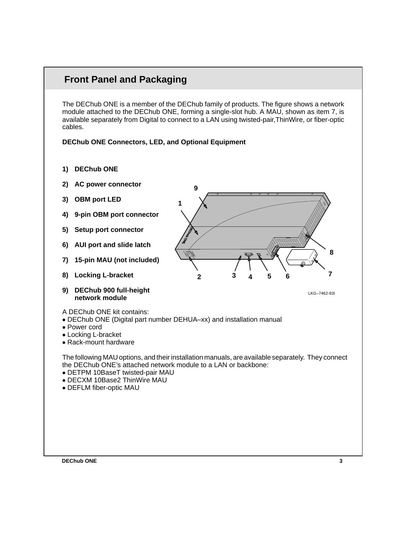# **Front Panel and Packaging**

The DEChub ONE is a member of the DEChub family of products. The figure shows a network module attached to the DEChub ONE, forming a single-slot hub. A MAU, shown as item 7, is available separately from Digital to connect to a LAN using twisted-pair,ThinWire, or fiber-optic cables.

**DEChub ONE Connectors, LED, and Optional Equipment**

- **1) DEChub ONE**
- **2) AC power connector**
- **3) OBM port LED**
- **4) 9-pin OBM port connector**
- **5) Setup port connector**
- **6) AUI port and slide latch**
- **7) 15-pin MAU (not included)**
- **8) Locking L-bracket**
- **9) DEChub 900 full-height network module**
- A DEChub ONE kit contains:
- DEChub ONE (Digital part number DEHUA–xx) and installation manual
- Power cord
- Locking L-bracket
- Rack-mount hardware

The following MAU options, and their installation manuals, are available separately. They connect the DEChub ONE's attached network module to a LAN or backbone:

- DETPM 10BaseT twisted-pair MAU
- DECXM 10Base2 ThinWire MAU
- DEFLM fiber-optic MAU





LKG–7462-93I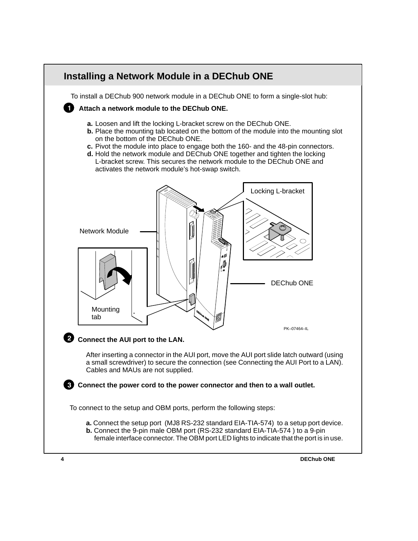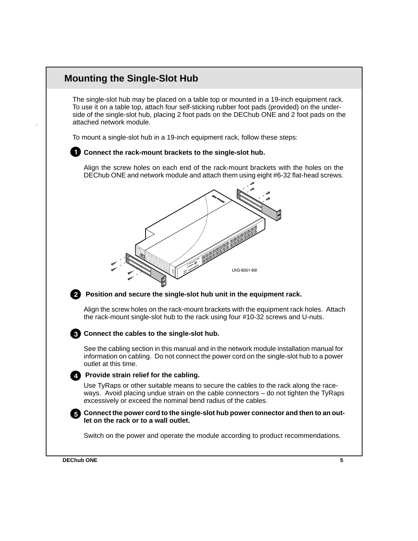## **Mounting the Single-Slot Hub**

The single-slot hub may be placed on a table top or mounted in a 19-inch equipment rack. To use it on a table top, attach four self-sticking rubber foot pads (provided) on the underside of the single-slot hub, placing 2 foot pads on the DEChub ONE and 2 foot pads on the attached network module.

To mount a single-slot hub in a 19-inch equipment rack, follow these steps:

## **Connect the rack-mount brackets to the single-slot hub.**

Align the screw holes on each end of the rack-mount brackets with the holes on the DEChub ONE and network module and attach them using eight #6-32 flat-head screws.





### **Position and secure the single-slot hub unit in the equipment rack.**

Align the screw holes on the rack-mount brackets with the equipment rack holes. Attach the rack-mount single-slot hub to the rack using four #10-32 screws and U-nuts.

### **Connect the cables to the single-slot hub.**

See the cabling section in this manual and in the network module installation manual for information on cabling. Do not connect the power cord on the single-slot hub to a power outlet at this time.

### **Provide strain relief for the cabling.**

Use TyRaps or other suitable means to secure the cables to the rack along the raceways. Avoid placing undue strain on the cable connectors – do not tighten the TyRaps excessively or exceed the nominal bend radius of the cables.

### **Connect the power cord to the single-slot hub power connector and then to an outlet on the rack or to a wall outlet.**

Switch on the power and operate the module according to product recommendations.

**DEChub ONE 5**

N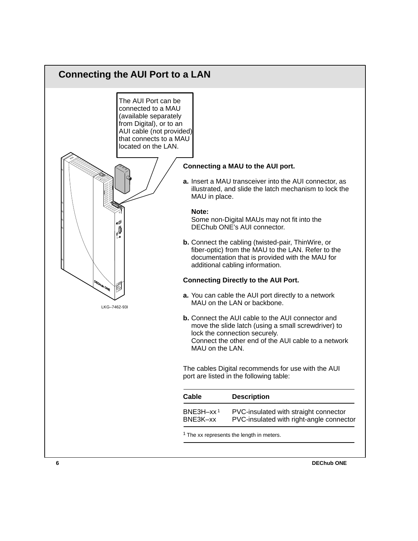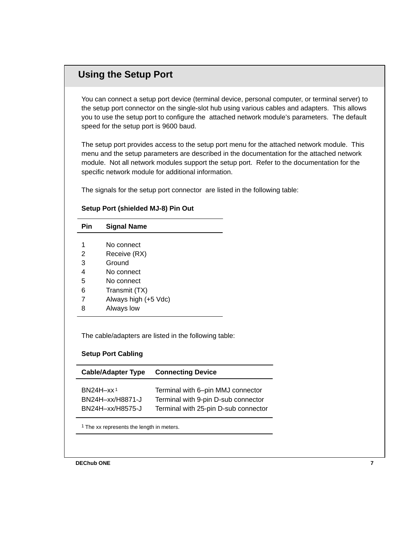# **Using the Setup Port**

You can connect a setup port device (terminal device, personal computer, or terminal server) to the setup port connector on the single-slot hub using various cables and adapters. This allows you to use the setup port to configure the attached network module's parameters. The default speed for the setup port is 9600 baud.

The setup port provides access to the setup port menu for the attached network module. This menu and the setup parameters are described in the documentation for the attached network module. Not all network modules support the setup port. Refer to the documentation for the specific network module for additional information.

The signals for the setup port connector are listed in the following table:

### **Setup Port (shielded MJ-8) Pin Out**

| Pin | <b>Signal Name</b>   |
|-----|----------------------|
|     |                      |
| 1   | No connect           |
| 2   | Receive (RX)         |
| 3   | Ground               |
| 4   | No connect           |
| 5   | No connect           |
| 6   | Transmit (TX)        |
| 7   | Always high (+5 Vdc) |
| 8   | Always low           |
|     |                      |

The cable/adapters are listed in the following table:

### **Setup Port Cabling**

| <b>Cable/Adapter Type</b> | <b>Connecting Device</b>             |
|---------------------------|--------------------------------------|
| BN24H-xx <sup>1</sup>     | Terminal with 6-pin MMJ connector    |
| BN24H-xx/H8871-J          | Terminal with 9-pin D-sub connector  |
| BN24H-xx/H8575-J          | Terminal with 25-pin D-sub connector |

<sup>1</sup> The xx represents the length in meters.

**DEChub ONE 7**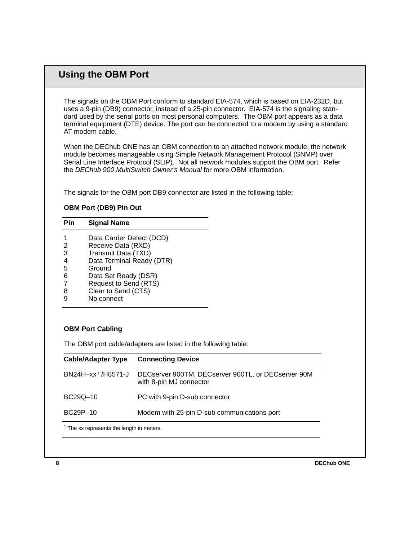## **Using the OBM Port**

The signals on the OBM Port conform to standard EIA-574, which is based on EIA-232D, but uses a 9-pin (DB9) connector, instead of a 25-pin connector. EIA-574 is the signaling standard used by the serial ports on most personal computers. The OBM port appears as a data terminal equipment (DTE) device. The port can be connected to a modem by using a standard AT modem cable.

When the DEChub ONE has an OBM connection to an attached network module, the network module becomes manageable using Simple Network Management Protocol (SNMP) over Serial Line Interface Protocol (SLIP). Not all network modules support the OBM port. Refer the DEChub 900 MultiSwitch Owner's Manual for more OBM information.

The signals for the OBM port DB9 connector are listed in the following table:

### **OBM Port (DB9) Pin Out**

| Pin | <b>Signal Name</b>        |  |
|-----|---------------------------|--|
|     | Data Carrier Detect (DCD) |  |
| 2   | Receive Data (RXD)        |  |
| 3   | Transmit Data (TXD)       |  |
| 4   | Data Terminal Ready (DTR) |  |
| 5   | Ground                    |  |
| 6   | Data Set Ready (DSR)      |  |
|     | Request to Send (RTS)     |  |
| 8   | Clear to Send (CTS)       |  |
| 9   | No connect                |  |

### **OBM Port Cabling**

The OBM port cable/adapters are listed in the following table:

| <b>Cable/Adapter Type</b>                            | <b>Connecting Device</b>                                                      |  |  |  |
|------------------------------------------------------|-------------------------------------------------------------------------------|--|--|--|
| BN24H-xx <sup>1</sup> /H8571-J                       | DECserver 900TM, DECserver 900TL, or DECserver 90M<br>with 8-pin MJ connector |  |  |  |
| BC29Q-10                                             | PC with 9-pin D-sub connector                                                 |  |  |  |
| BC29P-10                                             | Modem with 25-pin D-sub communications port                                   |  |  |  |
| <sup>1</sup> The xx represents the length in meters. |                                                                               |  |  |  |

**8** DEChub ONE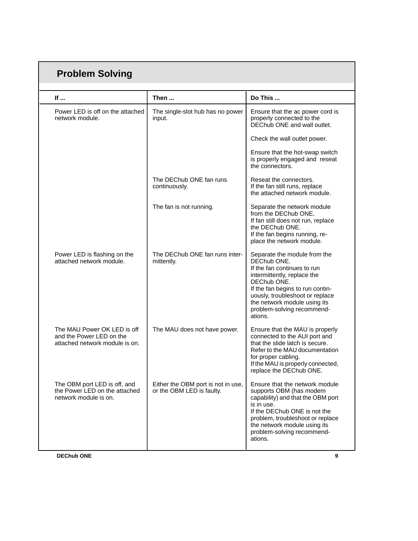| <b>Problem Solving</b>                                                                    |                                                                 |                                                                                                                                                                                                                                                                          |  |  |
|-------------------------------------------------------------------------------------------|-----------------------------------------------------------------|--------------------------------------------------------------------------------------------------------------------------------------------------------------------------------------------------------------------------------------------------------------------------|--|--|
|                                                                                           |                                                                 |                                                                                                                                                                                                                                                                          |  |  |
| If                                                                                        | Then                                                            | Do This                                                                                                                                                                                                                                                                  |  |  |
| Power LED is off on the attached<br>network module.                                       | The single-slot hub has no power<br>input.                      | Ensure that the ac power cord is<br>properly connected to the<br>DEChub ONE and wall outlet.                                                                                                                                                                             |  |  |
|                                                                                           |                                                                 | Check the wall outlet power.                                                                                                                                                                                                                                             |  |  |
|                                                                                           |                                                                 | Ensure that the hot-swap switch<br>is properly engaged and reseat<br>the connectors.                                                                                                                                                                                     |  |  |
|                                                                                           | The DEChub ONE fan runs<br>continuously.                        | Reseat the connectors.<br>If the fan still runs, replace<br>the attached network module.                                                                                                                                                                                 |  |  |
|                                                                                           | The fan is not running.                                         | Separate the network module<br>from the DEChub ONE.<br>If fan still does not run, replace<br>the DEChub ONE.<br>If the fan begins running, re-<br>place the network module.                                                                                              |  |  |
| Power LED is flashing on the<br>attached network module.                                  | The DEChub ONE fan runs inter-<br>mittently.                    | Separate the module from the<br>DEChub ONE.<br>If the fan continues to run<br>intermittently, replace the<br>DEChub ONE.<br>If the fan begins to run contin-<br>uously, troubleshoot or replace<br>the network module using its<br>problem-solving recommend-<br>ations. |  |  |
| The MAU Power OK LED is off<br>and the Power LED on the<br>attached network module is on. | The MAU does not have power.                                    | Ensure that the MAU is properly<br>connected to the AUI port and<br>that the slide latch is secure.<br>Refer to the MAU documentation<br>for proper cabling.<br>If the MAU is properly connected,<br>replace the DEChub ONE.                                             |  |  |
| The OBM port LED is off, and<br>the Power LED on the attached<br>network module is on.    | Either the OBM port is not in use,<br>or the OBM LED is faulty. | Ensure that the network module<br>supports OBM (has modem<br>capability) and that the OBM port<br>is in use.<br>If the DEChub ONE is not the<br>problem, troubleshoot or replace<br>the network module using its<br>problem-solving recommend-<br>ations.                |  |  |
| <b>DEChub ONE</b>                                                                         |                                                                 | 9                                                                                                                                                                                                                                                                        |  |  |